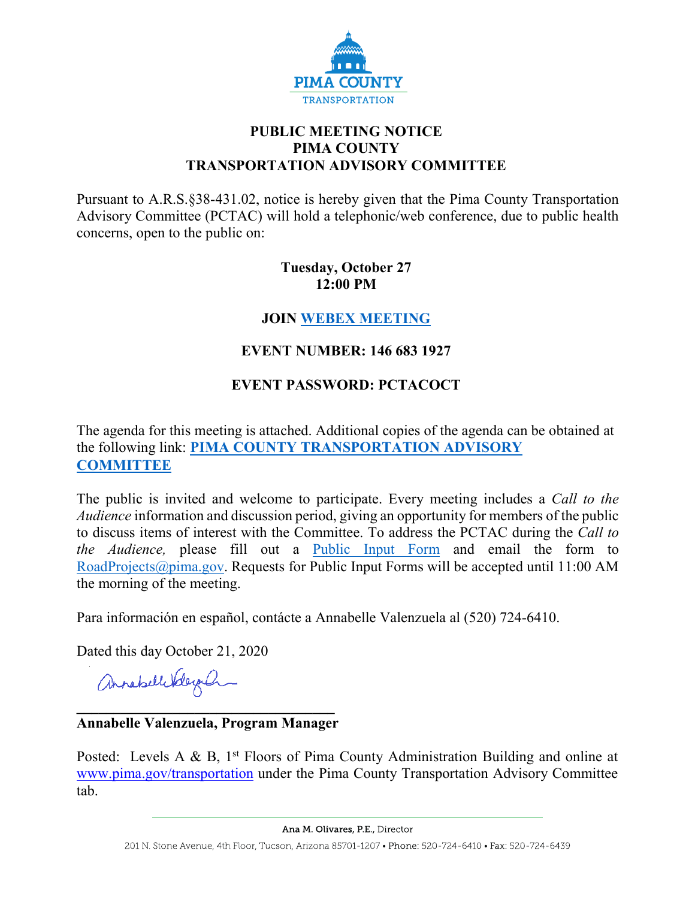

# **PUBLIC MEETING NOTICE PIMA COUNTY TRANSPORTATION ADVISORY COMMITTEE**

Pursuant to A.R.S.§38-431.02, notice is hereby given that the Pima County Transportation Advisory Committee (PCTAC) will hold a telephonic/web conference, due to public health concerns, open to the public on:

## **Tuesday, October 27 12:00 PM**

# **JOIN [WEBEX MEETING](https://pimacounty.webex.com/pimacounty/onstage/g.php?MTID=e5f0c7488377bd676e00c7de2c239ad00)**

# **EVENT NUMBER: 146 683 1927**

# **EVENT PASSWORD: PCTACOCT**

The agenda for this meeting is attached. Additional copies of the agenda can be obtained at the following link: **PIMA [COUNTY TRANSPORTATION ADVISORY](https://webcms.pima.gov/cms/One.aspx?portalId=169&pageId=355530)  [COMMITTEE](https://webcms.pima.gov/cms/One.aspx?portalId=169&pageId=355530)**

The public is invited and welcome to participate. Every meeting includes a *Call to the Audience* information and discussion period, giving an opportunity for members of the public to discuss items of interest with the Committee. To address the PCTAC during the *Call to the Audience,* please fill out a [Public Input Form](https://webcms.pima.gov/UserFiles/Servers/Server_6/File/Government/Transportation/TransportationAdvisoryCommittee/PCTAC%20Public%20Input%20Form%20200728.pdf) and email the form to [RoadProjects@pima.gov.](mailto:RoadProjects@pima.gov) Requests for Public Input Forms will be accepted until 11:00 AM the morning of the meeting.

Para información en español, contácte a Annabelle Valenzuela al (520) 724-6410.

Dated this day October 21, 2020

annahellebelegan

## **\_\_\_\_\_\_\_\_\_\_\_\_\_\_\_\_\_\_\_\_\_\_\_\_\_\_\_\_\_\_\_\_\_\_\_ Annabelle Valenzuela, Program Manager**

Posted: Levels A & B,  $1<sup>st</sup>$  Floors of Pima County Administration Building and online at [www.pima.gov/transportation](http://www.pima.gov/transportation) under the Pima County Transportation Advisory Committee tab.